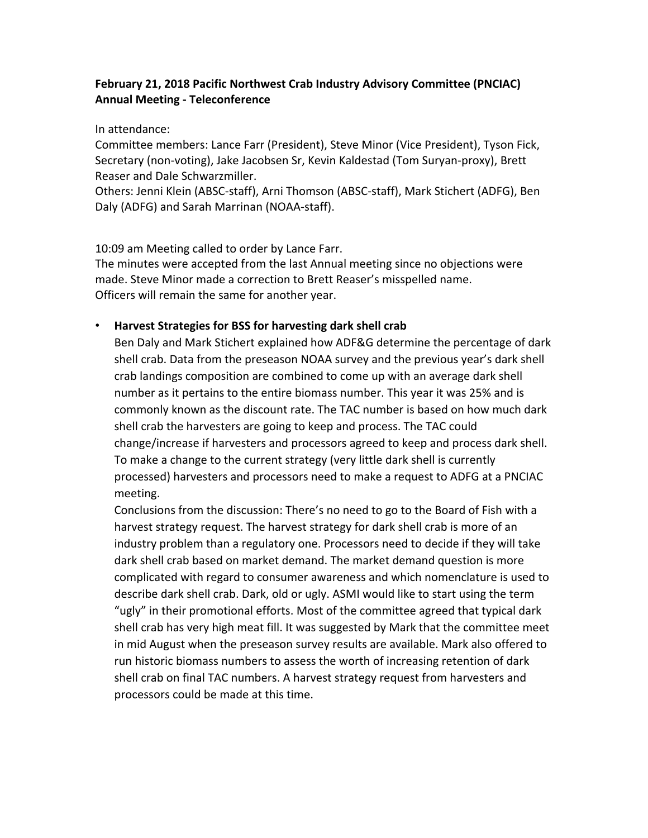## **February 21, 2018 Pacific Northwest Crab Industry Advisory Committee (PNCIAC) Annual Meeting - Teleconference**

In attendance:

Committee members: Lance Farr (President), Steve Minor (Vice President), Tyson Fick, Secretary (non-voting), Jake Jacobsen Sr, Kevin Kaldestad (Tom Suryan-proxy), Brett Reaser and Dale Schwarzmiller.

Others: Jenni Klein (ABSC-staff), Arni Thomson (ABSC-staff), Mark Stichert (ADFG), Ben Daly (ADFG) and [Sarah Marrinan](javascript:smae_decode() (NOAA-staff).

10:09 am Meeting called to order by Lance Farr.

The minutes were accepted from the last Annual meeting since no objections were made. Steve Minor made a correction to Brett Reaser's misspelled name. Officers will remain the same for another year.

# • **Harvest Strategies for BSS for harvesting dark shell crab**

Ben Daly and Mark Stichert explained how ADF&G determine the percentage of dark shell crab. Data from the preseason NOAA survey and the previous year's dark shell crab landings composition are combined to come up with an average dark shell number as it pertains to the entire biomass number. This year it was 25% and is commonly known as the discount rate. The TAC number is based on how much dark shell crab the harvesters are going to keep and process. The TAC could change/increase if harvesters and processors agreed to keep and process dark shell. To make a change to the current strategy (very little dark shell is currently processed) harvesters and processors need to make a request to ADFG at a PNCIAC meeting.

Conclusions from the discussion: There's no need to go to the Board of Fish with a harvest strategy request. The harvest strategy for dark shell crab is more of an industry problem than a regulatory one. Processors need to decide if they will take dark shell crab based on market demand. The market demand question is more complicated with regard to consumer awareness and which nomenclature is used to describe dark shell crab. Dark, old or ugly. ASMI would like to start using the term "ugly" in their promotional efforts. Most of the committee agreed that typical dark shell crab has very high meat fill. It was suggested by Mark that the committee meet in mid August when the preseason survey results are available. Mark also offered to run historic biomass numbers to assess the worth of increasing retention of dark shell crab on final TAC numbers. A harvest strategy request from harvesters and processors could be made at this time.